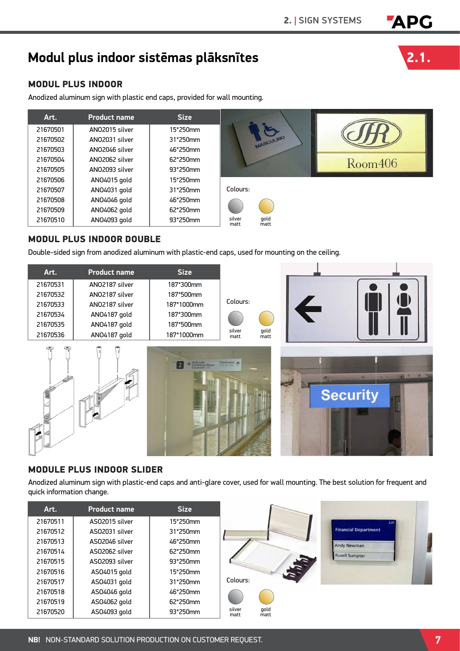# <sup>2.</sup> I SIGN SYSTEMS **APG**<br>Modul plus indoor sistēmas plāksnītes **2.1.**

# MODUL PLUS INDOOR

Anodized aluminum sign with plastic end caps, provided for wall mounting.

| Art.     | <b>Product name</b> | <b>Size</b> |                                |         |
|----------|---------------------|-------------|--------------------------------|---------|
| 21670501 | ANO2015 silver      | 15*250mm    |                                |         |
| 21670502 | ANO2031 silver      | 31*250mm    | ASCULINO                       |         |
| 21670503 | ANO2046 silver      | 46*250mm    |                                |         |
| 21670504 | ANO2062 silver      | 62*250mm    |                                | Room406 |
| 21670505 | ANO2093 silver      | 93*250mm    |                                |         |
| 21670506 | ANO4015 gold        | 15*250mm    |                                |         |
| 21670507 | AN04031 gold        | 31*250mm    | Colours:                       |         |
| 21670508 | ANO4046 gold        | 46*250mm    |                                |         |
| 21670509 | AN04062 gold        | 62*250mm    |                                |         |
| 21670510 | AN04093 gold        | 93*250mm    | gold<br>silver<br>matt<br>matt |         |

# MODUL PLUS INDOOR DOUBLE

Double-sided sign from anodized aluminum with plastic-end caps, used for mounting on the ceiling.

| Art.     | <b>Product name</b> | <b>Size</b>                                                     |                |              |                                                                     |
|----------|---------------------|-----------------------------------------------------------------|----------------|--------------|---------------------------------------------------------------------|
| 21670531 | ANO2187 silver      | 187*300mm                                                       |                |              |                                                                     |
| 21670532 | ANO2187 silver      | 187*500mm                                                       |                |              |                                                                     |
| 21670533 | ANO2187 silver      | 187*1000mm                                                      | Colours:       |              | $\blacktriangle$                                                    |
| 21670534 | ANO4187 gold        | 187*300mm                                                       |                |              |                                                                     |
| 21670535 | ANO4187 gold        | 187*500mm                                                       |                |              |                                                                     |
| 21670536 | ANO4187 gold        | 187*1000mm                                                      | silver<br>matt | gold<br>matt |                                                                     |
|          |                     | $\rightarrow \frac{S\text{kills Labs}}{\text{Conference Room}}$ | Classrooms 1   |              | P<br><b>SER</b><br>100<br><b>College College</b><br><b>Security</b> |

#### MODULE PLUS INDOOR SLIDER

Anodized aluminum sign with plastic-end caps and anti-glare cover, used for wall mounting. The best solution for frequent and quick information change.

| Art.     | <b>Product name</b> | <b>Size</b> |                |              |                             |
|----------|---------------------|-------------|----------------|--------------|-----------------------------|
| 21670511 | ASO2015 silver      | 15*250mm    |                |              |                             |
| 21670512 | ASO2031 silver      | 31*250mm    |                |              | <b>Financial Department</b> |
| 21670513 | AS02046 silver      | 46*250mm    |                |              | Andy Newman                 |
| 21670514 | ASO2062 silver      | 62*250mm    |                |              | <b>Rusell Sumpter</b>       |
| 21670515 | ASO2093 silver      | 93*250mm    |                |              |                             |
| 21670516 | AS04015 gold        | 15*250mm    |                |              |                             |
| 21670517 | AS04031 gold        | 31*250mm    | Colours:       |              |                             |
| 21670518 | AS04046 gold        | 46*250mm    |                |              |                             |
| 21670519 | AS04062 gold        | 62*250mm    |                |              |                             |
| 21670520 | AS04093 gold        | 93*250mm    | silver<br>matt | gold<br>matt |                             |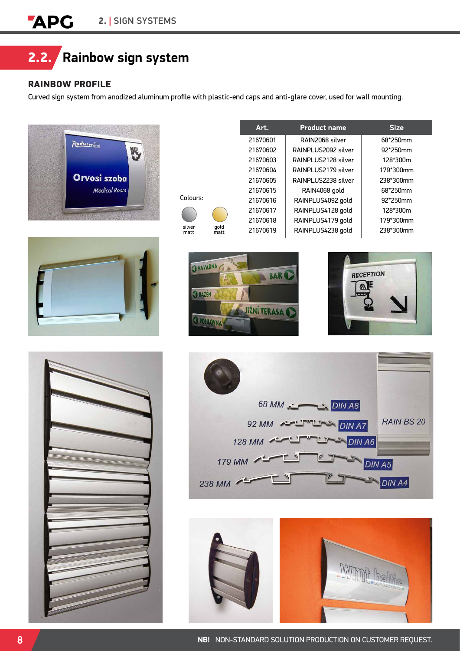

# RAINBOW PROFILE

Curved sign system from anodized aluminum profile with plastic-end caps and anti-glare cover, used for wall mounting.





| colours:       |              |
|----------------|--------------|
|                |              |
| silver<br>matt | gold<br>matt |

| Art.     | <b>Product name</b> | <b>Size</b> |
|----------|---------------------|-------------|
| 21670601 | RAIN2068 silver     | 68*250mm    |
| 21670602 | RAINPLUS2092 silver | 92*250mm    |
| 21670603 | RAINPLUS2128 silver | 128*300m    |
| 21670604 | RAINPLUS2179 silver | 179*300mm   |
| 21670605 | RAINPLUS2238 silver | 238*300mm   |
| 21670615 | RAIN4068 gold       | 68*250mm    |
| 21670616 | RAINPLUS4092 gold   | $92*250$ mm |
| 21670617 | RAINPLUS4128 gold   | 128*300m    |
| 21670618 | RAINPLUS4179 gold   | 179*300mm   |
| 21670619 | RAINPLUS4238 gold   | 238*300mm   |